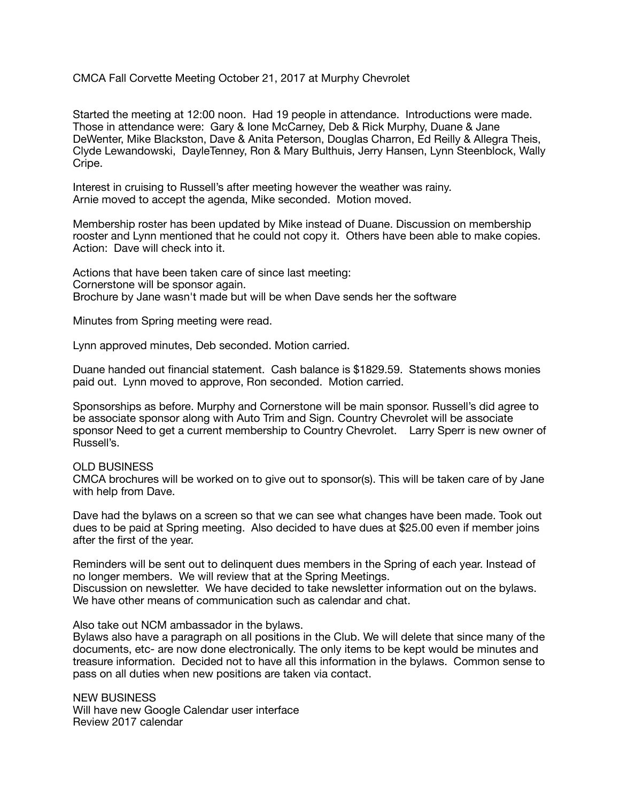## CMCA Fall Corvette Meeting October 21, 2017 at Murphy Chevrolet

Started the meeting at 12:00 noon. Had 19 people in attendance. Introductions were made. Those in attendance were: Gary & Ione McCarney, Deb & Rick Murphy, Duane & Jane DeWenter, Mike Blackston, Dave & Anita Peterson, Douglas Charron, Ed Reilly & Allegra Theis, Clyde Lewandowski, DayleTenney, Ron & Mary Bulthuis, Jerry Hansen, Lynn Steenblock, Wally Cripe.

Interest in cruising to Russell's after meeting however the weather was rainy. Arnie moved to accept the agenda, Mike seconded. Motion moved.

Membership roster has been updated by Mike instead of Duane. Discussion on membership rooster and Lynn mentioned that he could not copy it. Others have been able to make copies. Action: Dave will check into it.

Actions that have been taken care of since last meeting: Cornerstone will be sponsor again. Brochure by Jane wasn't made but will be when Dave sends her the software

Minutes from Spring meeting were read.

Lynn approved minutes, Deb seconded. Motion carried.

Duane handed out financial statement. Cash balance is \$1829.59. Statements shows monies paid out. Lynn moved to approve, Ron seconded. Motion carried.

Sponsorships as before. Murphy and Cornerstone will be main sponsor. Russell's did agree to be associate sponsor along with Auto Trim and Sign. Country Chevrolet will be associate sponsor Need to get a current membership to Country Chevrolet. Larry Sperr is new owner of Russell's.

## OLD BUSINESS

CMCA brochures will be worked on to give out to sponsor(s). This will be taken care of by Jane with help from Dave.

Dave had the bylaws on a screen so that we can see what changes have been made. Took out dues to be paid at Spring meeting. Also decided to have dues at \$25.00 even if member joins after the first of the year.

Reminders will be sent out to delinquent dues members in the Spring of each year. Instead of no longer members. We will review that at the Spring Meetings. Discussion on newsletter. We have decided to take newsletter information out on the bylaws. We have other means of communication such as calendar and chat.

Also take out NCM ambassador in the bylaws.

Bylaws also have a paragraph on all positions in the Club. We will delete that since many of the documents, etc- are now done electronically. The only items to be kept would be minutes and treasure information. Decided not to have all this information in the bylaws. Common sense to pass on all duties when new positions are taken via contact.

NEW BUSINESS Will have new Google Calendar user interface Review 2017 calendar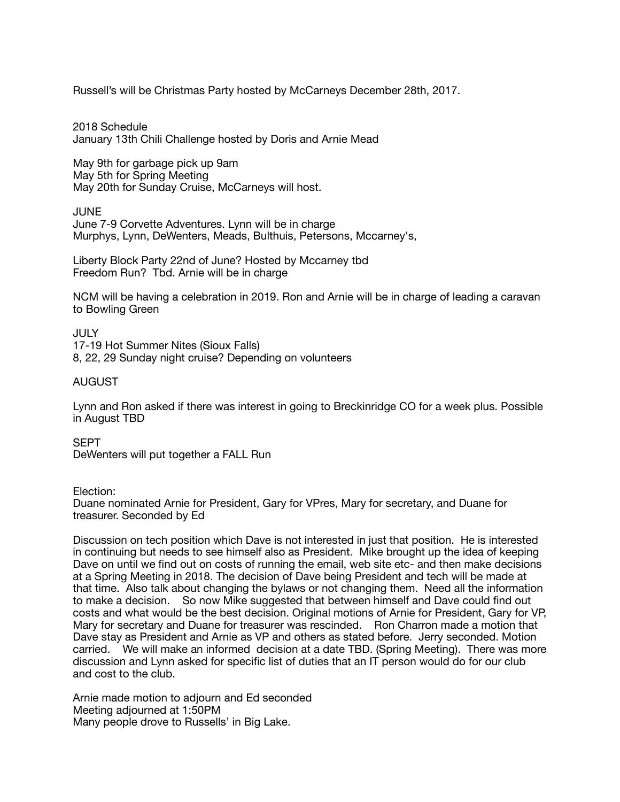Russell's will be Christmas Party hosted by McCarneys December 28th, 2017.

2018 Schedule January 13th Chili Challenge hosted by Doris and Arnie Mead

May 9th for garbage pick up 9am May 5th for Spring Meeting May 20th for Sunday Cruise, McCarneys will host.

JUNE

June 7-9 Corvette Adventures. Lynn will be in charge Murphys, Lynn, DeWenters, Meads, Bulthuis, Petersons, Mccarney's,

Liberty Block Party 22nd of June? Hosted by Mccarney tbd Freedom Run? Tbd. Arnie will be in charge

NCM will be having a celebration in 2019. Ron and Arnie will be in charge of leading a caravan to Bowling Green

**JULY** 17-19 Hot Summer Nites (Sioux Falls) 8, 22, 29 Sunday night cruise? Depending on volunteers

## AUGUST

Lynn and Ron asked if there was interest in going to Breckinridge CO for a week plus. Possible in August TBD

SEPT DeWenters will put together a FALL Run

Election:

Duane nominated Arnie for President, Gary for VPres, Mary for secretary, and Duane for treasurer. Seconded by Ed

Discussion on tech position which Dave is not interested in just that position. He is interested in continuing but needs to see himself also as President. Mike brought up the idea of keeping Dave on until we find out on costs of running the email, web site etc- and then make decisions at a Spring Meeting in 2018. The decision of Dave being President and tech will be made at that time. Also talk about changing the bylaws or not changing them. Need all the information to make a decision. So now Mike suggested that between himself and Dave could find out costs and what would be the best decision. Original motions of Arnie for President, Gary for VP, Mary for secretary and Duane for treasurer was rescinded. Ron Charron made a motion that Dave stay as President and Arnie as VP and others as stated before. Jerry seconded. Motion carried. We will make an informed decision at a date TBD. (Spring Meeting). There was more discussion and Lynn asked for specific list of duties that an IT person would do for our club and cost to the club.

Arnie made motion to adjourn and Ed seconded Meeting adjourned at 1:50PM Many people drove to Russells' in Big Lake.